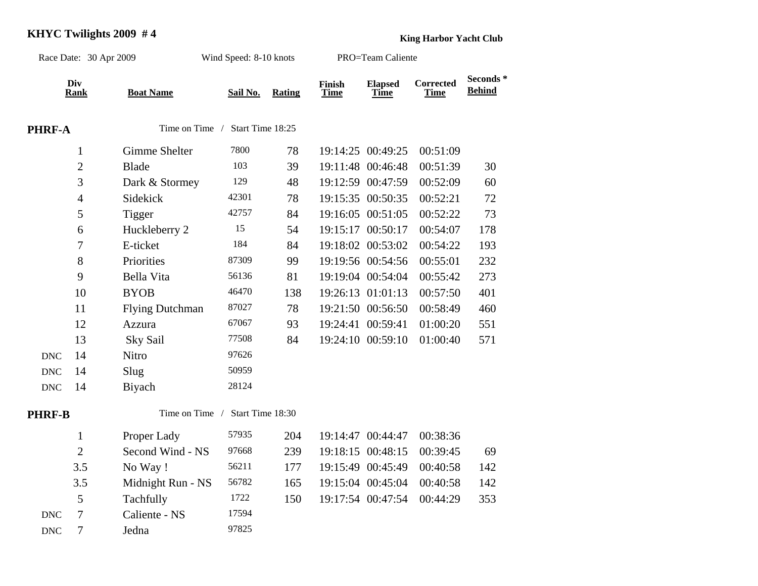## **KHYC Twilights 2009 #4 King Harbor Yacht Club**

| Race Date: 30 Apr 2009 |                    |                        | Wind Speed: 8-10 knots |               | PRO=Team Caliente     |                               |                                 |                           |
|------------------------|--------------------|------------------------|------------------------|---------------|-----------------------|-------------------------------|---------------------------------|---------------------------|
|                        | Div<br><b>Rank</b> | <b>Boat Name</b>       | Sail No.               | <b>Rating</b> | Finish<br><b>Time</b> | <b>Elapsed</b><br><b>Time</b> | <b>Corrected</b><br><b>Time</b> | Seconds*<br><b>Behind</b> |
| <b>PHRF-A</b>          |                    | Time on Time /         | Start Time 18:25       |               |                       |                               |                                 |                           |
|                        | $\mathbf{1}$       | Gimme Shelter          | 7800                   | 78            |                       | 19:14:25 00:49:25             | 00:51:09                        |                           |
|                        | $\overline{2}$     | <b>Blade</b>           | 103                    | 39            |                       | 19:11:48 00:46:48             | 00:51:39                        | 30                        |
|                        | 3                  | Dark & Stormey         | 129                    | 48            |                       | 19:12:59 00:47:59             | 00:52:09                        | 60                        |
|                        | $\overline{4}$     | Sidekick               | 42301                  | 78            |                       | 19:15:35 00:50:35             | 00:52:21                        | 72                        |
|                        | 5                  | <b>Tigger</b>          | 42757                  | 84            |                       | 19:16:05 00:51:05             | 00:52:22                        | 73                        |
|                        | 6                  | Huckleberry 2          | 15                     | 54            |                       | 19:15:17 00:50:17             | 00:54:07                        | 178                       |
|                        | $\overline{7}$     | E-ticket               | 184                    | 84            |                       | 19:18:02 00:53:02             | 00:54:22                        | 193                       |
|                        | 8                  | Priorities             | 87309                  | 99            |                       | 19:19:56 00:54:56             | 00:55:01                        | 232                       |
|                        | 9                  | Bella Vita             | 56136                  | 81            |                       | 19:19:04 00:54:04             | 00:55:42                        | 273                       |
|                        | 10                 | <b>BYOB</b>            | 46470                  | 138           |                       | 19:26:13 01:01:13             | 00:57:50                        | 401                       |
|                        | 11                 | <b>Flying Dutchman</b> | 87027                  | 78            |                       | 19:21:50 00:56:50             | 00:58:49                        | 460                       |
|                        | 12                 | Azzura                 | 67067                  | 93            |                       | 19:24:41 00:59:41             | 01:00:20                        | 551                       |
|                        | 13                 | Sky Sail               | 77508                  | 84            |                       | 19:24:10 00:59:10             | 01:00:40                        | 571                       |
| <b>DNC</b>             | 14                 | Nitro                  | 97626                  |               |                       |                               |                                 |                           |
| <b>DNC</b>             | 14                 | Slug                   | 50959                  |               |                       |                               |                                 |                           |
| <b>DNC</b>             | 14                 | Biyach                 | 28124                  |               |                       |                               |                                 |                           |
| <b>PHRF-B</b>          |                    | Time on Time /         | Start Time 18:30       |               |                       |                               |                                 |                           |
|                        | $\mathbf{1}$       | Proper Lady            | 57935                  | 204           |                       | 19:14:47 00:44:47             | 00:38:36                        |                           |
|                        | $\overline{2}$     | Second Wind - NS       | 97668                  | 239           |                       | 19:18:15 00:48:15             | 00:39:45                        | 69                        |
|                        | 3.5                | No Way!                | 56211                  | 177           |                       | 19:15:49 00:45:49             | 00:40:58                        | 142                       |
|                        | 3.5                | Midnight Run - NS      | 56782                  | 165           |                       | 19:15:04 00:45:04             | 00:40:58                        | 142                       |
|                        | 5                  | Tachfully              | 1722                   | 150           |                       | 19:17:54 00:47:54             | 00:44:29                        | 353                       |
| <b>DNC</b>             | $\overline{7}$     | Caliente - NS          | 17594                  |               |                       |                               |                                 |                           |
| <b>DNC</b>             | $\tau$             | Jedna                  | 97825                  |               |                       |                               |                                 |                           |